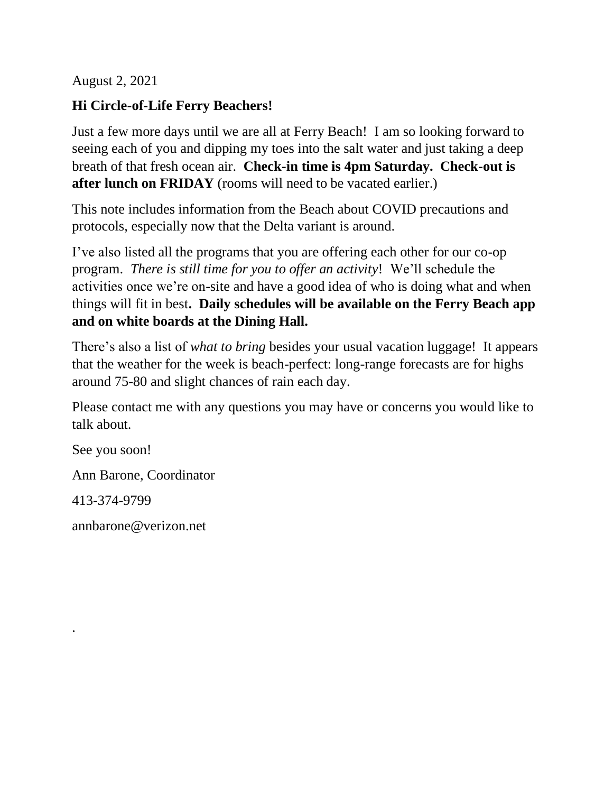August 2, 2021

## **Hi Circle-of-Life Ferry Beachers!**

Just a few more days until we are all at Ferry Beach! I am so looking forward to seeing each of you and dipping my toes into the salt water and just taking a deep breath of that fresh ocean air. **Check-in time is 4pm Saturday. Check-out is after lunch on FRIDAY** (rooms will need to be vacated earlier.)

This note includes information from the Beach about COVID precautions and protocols, especially now that the Delta variant is around.

I've also listed all the programs that you are offering each other for our co-op program. *There is still time for you to offer an activity*! We'll schedule the activities once we're on-site and have a good idea of who is doing what and when things will fit in best**. Daily schedules will be available on the Ferry Beach app and on white boards at the Dining Hall.**

There's also a list of *what to bring* besides your usual vacation luggage! It appears that the weather for the week is beach-perfect: long-range forecasts are for highs around 75-80 and slight chances of rain each day.

Please contact me with any questions you may have or concerns you would like to talk about.

See you soon!

Ann Barone, Coordinator

413-374-9799

.

annbarone@verizon.net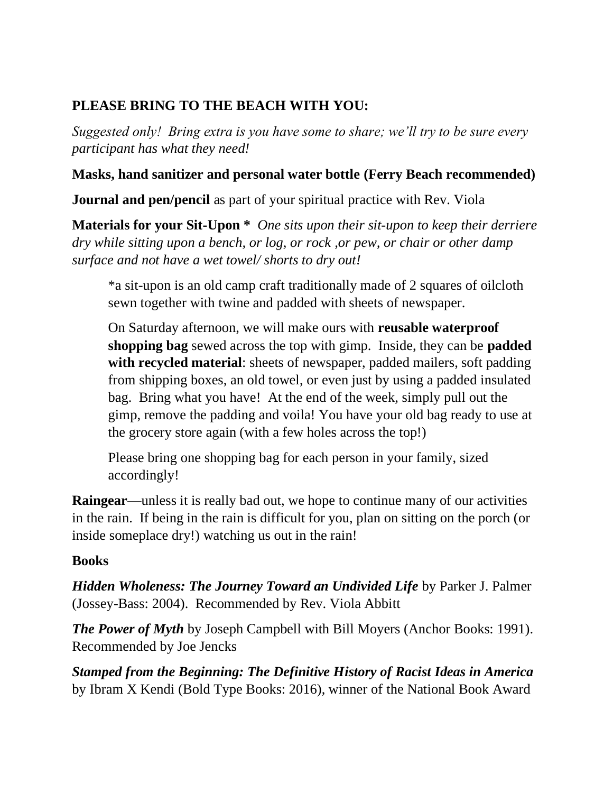# **PLEASE BRING TO THE BEACH WITH YOU:**

*Suggested only! Bring extra is you have some to share; we'll try to be sure every participant has what they need!*

## **Masks, hand sanitizer and personal water bottle (Ferry Beach recommended)**

**Journal and pen/pencil** as part of your spiritual practice with Rev. Viola

**Materials for your Sit-Upon \*** *One sits upon their sit-upon to keep their derriere dry while sitting upon a bench, or log, or rock ,or pew, or chair or other damp surface and not have a wet towel/ shorts to dry out!*

\*a sit-upon is an old camp craft traditionally made of 2 squares of oilcloth sewn together with twine and padded with sheets of newspaper.

On Saturday afternoon, we will make ours with **reusable waterproof shopping bag** sewed across the top with gimp. Inside, they can be **padded with recycled material**: sheets of newspaper, padded mailers, soft padding from shipping boxes, an old towel, or even just by using a padded insulated bag. Bring what you have! At the end of the week, simply pull out the gimp, remove the padding and voila! You have your old bag ready to use at the grocery store again (with a few holes across the top!)

Please bring one shopping bag for each person in your family, sized accordingly!

**Raingear**—unless it is really bad out, we hope to continue many of our activities in the rain. If being in the rain is difficult for you, plan on sitting on the porch (or inside someplace dry!) watching us out in the rain!

#### **Books**

*Hidden Wholeness: The Journey Toward an Undivided Life* by Parker J. Palmer (Jossey-Bass: 2004). Recommended by Rev. Viola Abbitt

*The Power of Myth* by Joseph Campbell with Bill Moyers (Anchor Books: 1991). Recommended by Joe Jencks

*Stamped from the Beginning: The Definitive History of Racist Ideas in America*  by Ibram X Kendi (Bold Type Books: 2016), winner of the National Book Award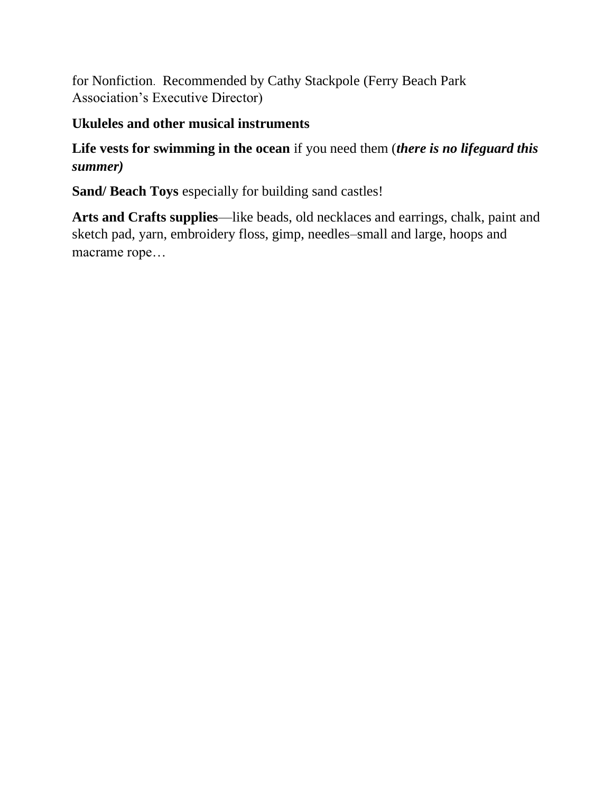for Nonfiction. Recommended by Cathy Stackpole (Ferry Beach Park Association's Executive Director)

## **Ukuleles and other musical instruments**

## **Life vests for swimming in the ocean** if you need them (*there is no lifeguard this summer)*

**Sand/ Beach Toys** especially for building sand castles!

**Arts and Crafts supplies**—like beads, old necklaces and earrings, chalk, paint and sketch pad, yarn, embroidery floss, gimp, needles–small and large, hoops and macrame rope…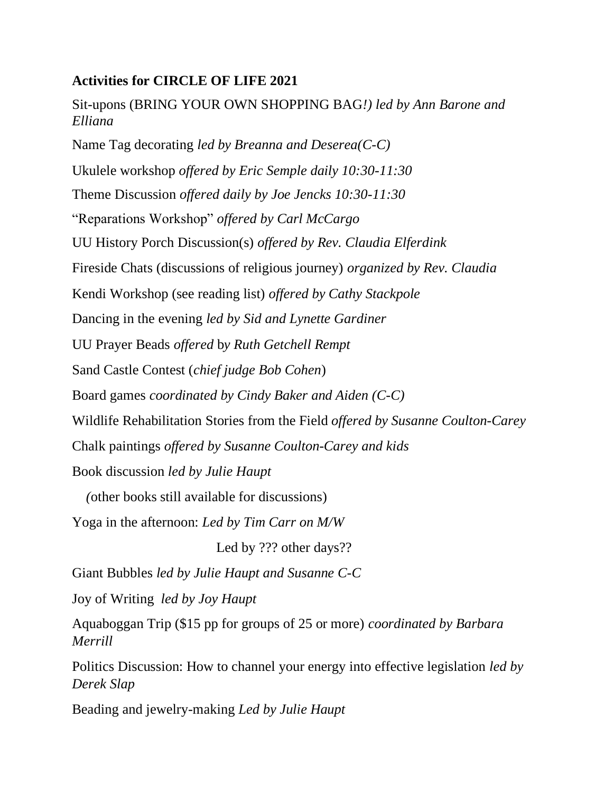#### **Activities for CIRCLE OF LIFE 2021**

Sit-upons (BRING YOUR OWN SHOPPING BAG*!) led by Ann Barone and Elliana* Name Tag decorating *led by Breanna and Deserea(C-C)* Ukulele workshop *offered by Eric Semple daily 10:30-11:30* Theme Discussion *offered daily by Joe Jencks 10:30-11:30* "Reparations Workshop" *offered by Carl McCargo* UU History Porch Discussion(s) *offered by Rev. Claudia Elferdink* Fireside Chats (discussions of religious journey) *organized by Rev. Claudia* Kendi Workshop (see reading list) *offered by Cathy Stackpole* Dancing in the evening *led by Sid and Lynette Gardiner* UU Prayer Beads *offered* b*y Ruth Getchell Rempt* Sand Castle Contest (*chief judge Bob Cohen*) Board games *coordinated by Cindy Baker and Aiden (C-C)* Wildlife Rehabilitation Stories from the Field *offered by Susanne Coulton-Carey* Chalk paintings *offered by Susanne Coulton-Carey and kids* Book discussion *led by Julie Haupt (*other books still available for discussions)

Yoga in the afternoon: *Led by Tim Carr on M/W*

Led by ??? other days??

Giant Bubbles *led by Julie Haupt and Susanne C-C*

Joy of Writing *led by Joy Haupt*

Aquaboggan Trip (\$15 pp for groups of 25 or more) *coordinated by Barbara Merrill*

Politics Discussion: How to channel your energy into effective legislation *led by Derek Slap*

Beading and jewelry-making *Led by Julie Haupt*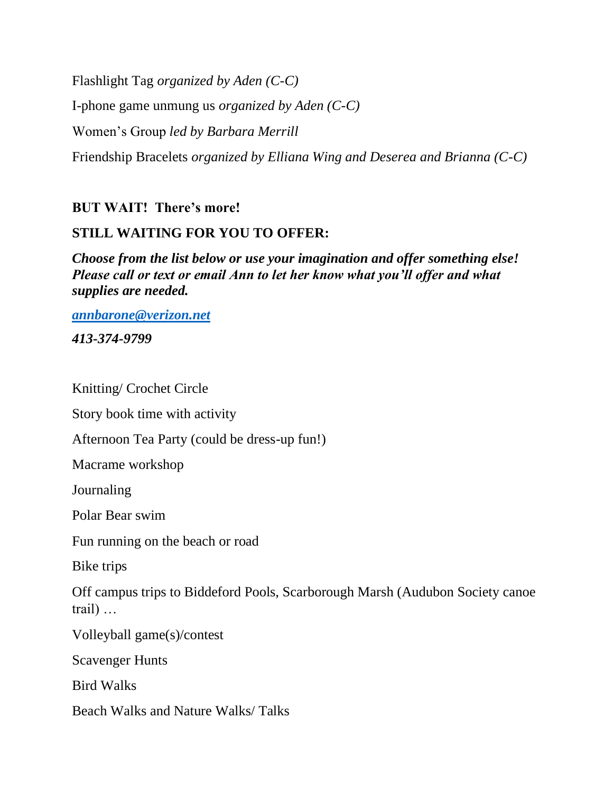Flashlight Tag *organized by Aden (C-C)*

I-phone game unmung us *organized by Aden (C-C)*

Women's Group *led by Barbara Merrill*

Friendship Bracelets *organized by Elliana Wing and Deserea and Brianna (C-C)*

#### **BUT WAIT! There's more!**

## **STILL WAITING FOR YOU TO OFFER:**

*Choose from the list below or use your imagination and offer something else! Please call or text or email Ann to let her know what you'll offer and what supplies are needed.*

*[annbarone@verizon.net](mailto:annbarone@verizon.net) 413-374-9799*

Knitting/ Crochet Circle

Story book time with activity

Afternoon Tea Party (could be dress-up fun!)

Macrame workshop

Journaling

Polar Bear swim

Fun running on the beach or road

Bike trips

Off campus trips to Biddeford Pools, Scarborough Marsh (Audubon Society canoe trail) …

Volleyball game(s)/contest

Scavenger Hunts

Bird Walks

Beach Walks and Nature Walks/ Talks